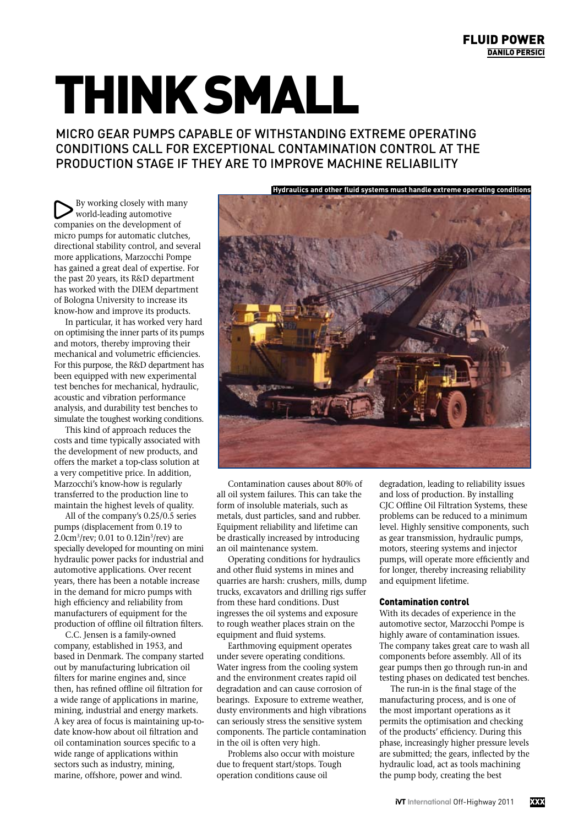## think small

micro gear pumps capable of withstanding extreme operating conditions call for exceptional contamination control at the production stage if they are to improve machine reliability

By working closely with many world-leading automotive companies on the development of micro pumps for automatic clutches, directional stability control, and several more applications, Marzocchi Pompe has gained a great deal of expertise. For the past 20 years, its R&D department has worked with the DIEM department of Bologna University to increase its know-how and improve its products.

In particular, it has worked very hard on optimising the inner parts of its pumps and motors, thereby improving their mechanical and volumetric efficiencies. For this purpose, the R&D department has been equipped with new experimental test benches for mechanical, hydraulic, acoustic and vibration performance analysis, and durability test benches to simulate the toughest working conditions.

This kind of approach reduces the costs and time typically associated with the development of new products, and offers the market a top-class solution at a very competitive price. In addition, Marzocchi's know-how is regularly transferred to the production line to maintain the highest levels of quality.

All of the company's 0.25/0.5 series pumps (displacement from 0.19 to 2.0cm<sup>3</sup>/rev; 0.01 to 0.12in<sup>3</sup>/rev) are specially developed for mounting on mini hydraulic power packs for industrial and automotive applications. Over recent years, there has been a notable increase in the demand for micro pumps with high efficiency and reliability from manufacturers of equipment for the production of offline oil filtration filters.

C.C. Jensen is a family-owned company, established in 1953, and based in Denmark. The company started out by manufacturing lubrication oil filters for marine engines and, since then, has refined offline oil filtration for a wide range of applications in marine, mining, industrial and energy markets. A key area of focus is maintaining up-todate know-how about oil filtration and oil contamination sources specific to a wide range of applications within sectors such as industry, mining, marine, offshore, power and wind.

**Hydraulics and other fluid systems must handle extreme operating conditions**

Contamination causes about 80% of all oil system failures. This can take the form of insoluble materials, such as metals, dust particles, sand and rubber. Equipment reliability and lifetime can be drastically increased by introducing an oil maintenance system.

Operating conditions for hydraulics and other fluid systems in mines and quarries are harsh: crushers, mills, dump trucks, excavators and drilling rigs suffer from these hard conditions. Dust ingresses the oil systems and exposure to rough weather places strain on the equipment and fluid systems.

Earthmoving equipment operates under severe operating conditions. Water ingress from the cooling system and the environment creates rapid oil degradation and can cause corrosion of bearings. Exposure to extreme weather, dusty environments and high vibrations can seriously stress the sensitive system components. The particle contamination in the oil is often very high.

Problems also occur with moisture due to frequent start/stops. Tough operation conditions cause oil

degradation, leading to reliability issues and loss of production. By installing CJC Offline Oil Filtration Systems, these problems can be reduced to a minimum level. Highly sensitive components, such as gear transmission, hydraulic pumps, motors, steering systems and injector pumps, will operate more efficiently and for longer, thereby increasing reliability and equipment lifetime.

## Contamination control

With its decades of experience in the automotive sector, Marzocchi Pompe is highly aware of contamination issues. The company takes great care to wash all components before assembly. All of its gear pumps then go through run-in and testing phases on dedicated test benches.

The run-in is the final stage of the manufacturing process, and is one of the most important operations as it permits the optimisation and checking of the products' efficiency. During this phase, increasingly higher pressure levels are submitted; the gears, inflected by the hydraulic load, act as tools machining the pump body, creating the best